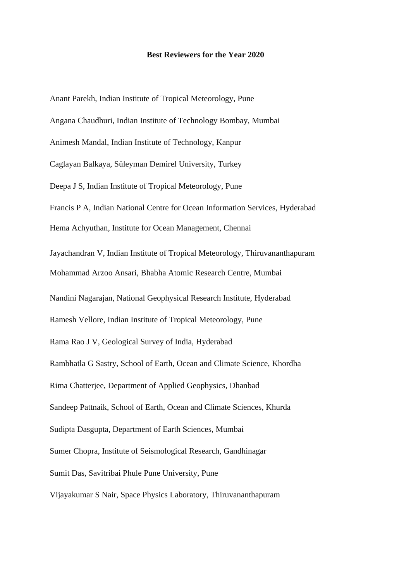Anant Parekh, Indian Institute of Tropical Meteorology, Pune Angana Chaudhuri, Indian Institute of Technology Bombay, Mumbai Animesh Mandal, Indian Institute of Technology, Kanpur Caglayan Balkaya, Süleyman Demirel University, Turkey Deepa J S, Indian Institute of Tropical Meteorology, Pune Francis P A, Indian National Centre for Ocean Information Services, Hyderabad Hema Achyuthan, Institute for Ocean Management, Chennai Jayachandran V, Indian Institute of Tropical Meteorology, Thiruvananthapuram Mohammad Arzoo Ansari, Bhabha Atomic Research Centre, Mumbai Nandini Nagarajan, National Geophysical Research Institute, Hyderabad Ramesh Vellore, Indian Institute of Tropical Meteorology, Pune Rama Rao J V, Geological Survey of India, Hyderabad Rambhatla G Sastry, School of Earth, Ocean and Climate Science, Khordha Rima Chatterjee, Department of Applied Geophysics, Dhanbad Sandeep Pattnaik, School of Earth, Ocean and Climate Sciences, Khurda Sudipta Dasgupta, Department of Earth Sciences, Mumbai Sumer Chopra, Institute of Seismological Research, Gandhinagar Sumit Das, Savitribai Phule Pune University, Pune Vijayakumar S Nair, Space Physics Laboratory, Thiruvananthapuram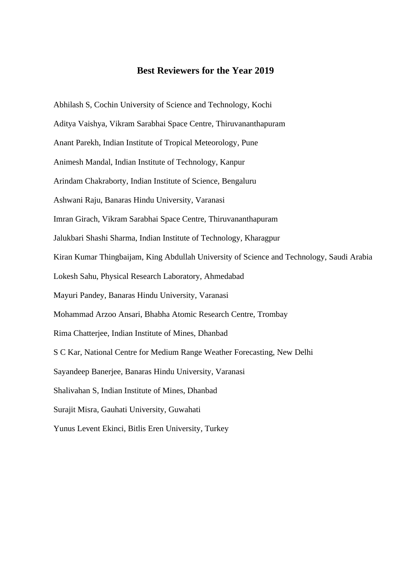Abhilash S, Cochin University of Science and Technology, Kochi Aditya Vaishya, Vikram Sarabhai Space Centre, Thiruvananthapuram Anant Parekh, Indian Institute of Tropical Meteorology, Pune Animesh Mandal, Indian Institute of Technology, Kanpur Arindam Chakraborty, Indian Institute of Science, Bengaluru Ashwani Raju, Banaras Hindu University, Varanasi Imran Girach, Vikram Sarabhai Space Centre, Thiruvananthapuram Jalukbari Shashi Sharma, Indian Institute of Technology, Kharagpur Kiran Kumar Thingbaijam, King Abdullah University of Science and Technology, Saudi Arabia Lokesh Sahu, Physical Research Laboratory, Ahmedabad Mayuri Pandey, Banaras Hindu University, Varanasi Mohammad Arzoo Ansari, Bhabha Atomic Research Centre, Trombay Rima Chatterjee, Indian Institute of Mines, Dhanbad S C Kar, National Centre for Medium Range Weather Forecasting, New Delhi Sayandeep Banerjee, Banaras Hindu University, Varanasi Shalivahan S, Indian Institute of Mines, Dhanbad Surajit Misra, Gauhati University, Guwahati Yunus Levent Ekinci, Bitlis Eren University, Turkey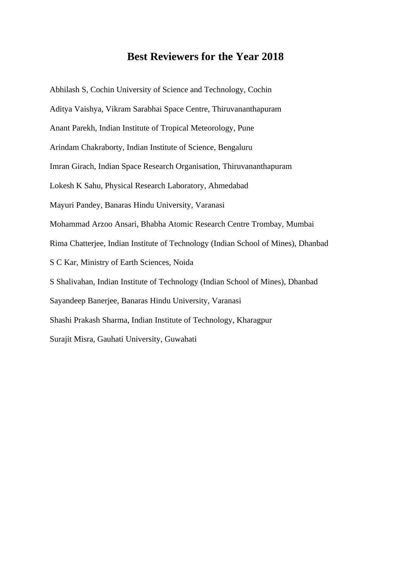Abhilash S, Cochin University of Science and Technology, Cochin Aditya Vaishya, Vikram Sarabhai Space Centre, Thiruvananthapuram Anant Parekh, Indian Institute of Tropical Meteorology, Pune Arindam Chakraborty, Indian Institute of Science, Bengaluru Imran Girach, Indian Space Research Organisation, Thiruvananthapuram Lokesh K Sahu, Physical Research Laboratory, Ahmedabad Mayuri Pandey, Banaras Hindu University, Varanasi Mohammad Arzoo Ansari, Bhabha Atomic Research Centre Trombay, Mumbai Rima Chatterjee, Indian Institute of Technology (Indian School of Mines), Dhanbad S C Kar, Ministry of Earth Sciences, Noida S Shalivahan, Indian Institute of Technology (Indian School of Mines), Dhanbad Sayandeep Banerjee, Banaras Hindu University, Varanasi Shashi Prakash Sharma, Indian Institute of Technology, Kharagpur Surajit Misra, Gauhati University, Guwahati